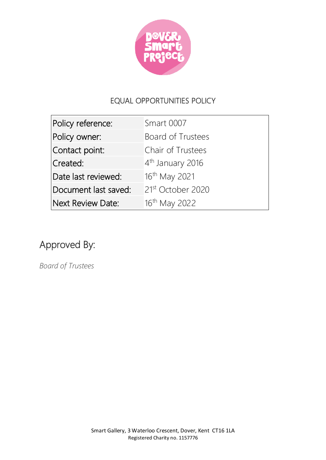

## EQUAL OPPORTUNITIES POLICY

| Policy reference:        | Smart 0007                   |
|--------------------------|------------------------------|
| Policy owner:            | Board of Trustees            |
| Contact point:           | Chair of Trustees            |
| Created:                 | 4 <sup>th</sup> January 2016 |
| Date last reviewed:      | 16 <sup>th</sup> May 2021    |
| Document last saved:     | 21st October 2020            |
| <b>Next Review Date:</b> | 16 <sup>th</sup> May 2022    |

## Approved By:

*Board of Trustees*